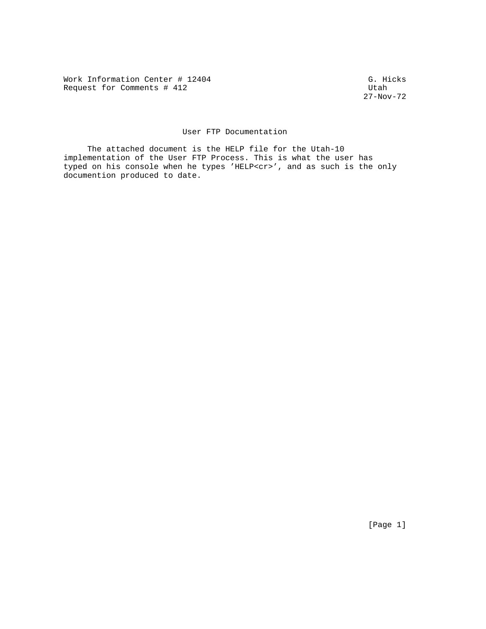Work Information Center # 12404<br>Request for Comments # 412 Request for Comments  $#$  412

27-Nov-72

# User FTP Documentation

 The attached document is the HELP file for the Utah-10 implementation of the User FTP Process. This is what the user has typed on his console when he types 'HELP<cr>', and as such is the only documention produced to date.

[Page 1]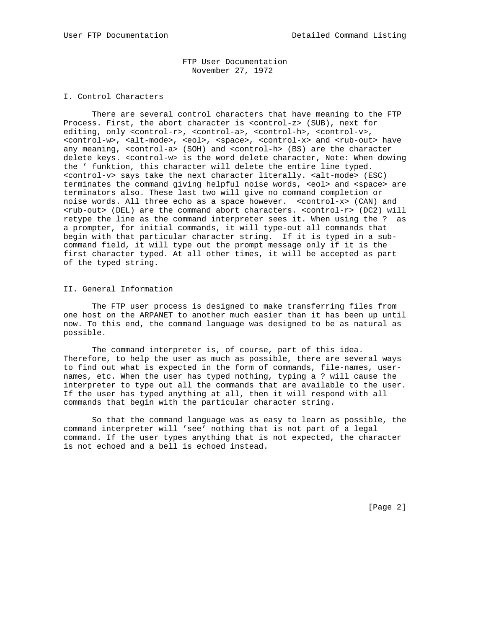FTP User Documentation November 27, 1972

## I. Control Characters

 There are several control characters that have meaning to the FTP Process. First, the abort character is <control-z> (SUB), next for editing, only <control-r>, <control-a>, <control-h>, <control-v>, <control-w>, <alt-mode>, <eol>, <space>, <control-x> and <rub-out> have any meaning, <control-a> (SOH) and <control-h> (BS) are the character delete keys. <control-w> is the word delete character, Note: When dowing the ' funktion, this character will delete the entire line typed. <control-v> says take the next character literally. <alt-mode> (ESC) terminates the command giving helpful noise words, <eol> and <space> are terminators also. These last two will give no command completion or noise words. All three echo as a space however. <control-x> (CAN) and <rub-out> (DEL) are the command abort characters. <control-r> (DC2) will retype the line as the command interpreter sees it. When using the ? as a prompter, for initial commands, it will type-out all commands that begin with that particular character string. If it is typed in a subcommand field, it will type out the prompt message only if it is the first character typed. At all other times, it will be accepted as part of the typed string.

## II. General Information

 The FTP user process is designed to make transferring files from one host on the ARPANET to another much easier than it has been up until now. To this end, the command language was designed to be as natural as possible.

 The command interpreter is, of course, part of this idea. Therefore, to help the user as much as possible, there are several ways to find out what is expected in the form of commands, file-names, usernames, etc. When the user has typed nothing, typing a ? will cause the interpreter to type out all the commands that are available to the user. If the user has typed anything at all, then it will respond with all commands that begin with the particular character string.

 So that the command language was as easy to learn as possible, the command interpreter will 'see' nothing that is not part of a legal command. If the user types anything that is not expected, the character is not echoed and a bell is echoed instead.

[Page 2]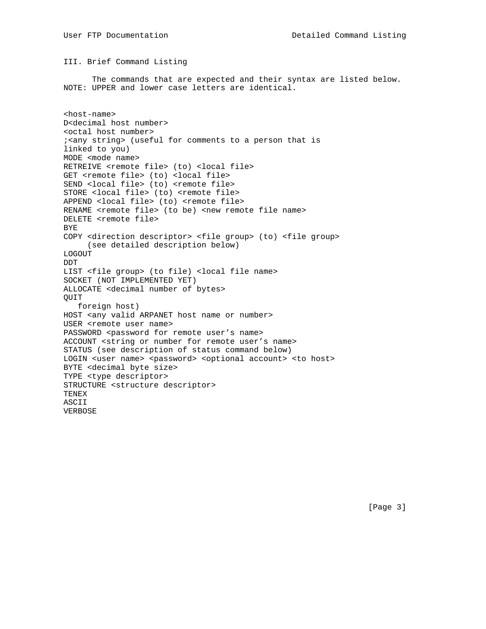## III. Brief Command Listing

 The commands that are expected and their syntax are listed below. NOTE: UPPER and lower case letters are identical.

<host-name> D<decimal host number> <octal host number> ;<any string> (useful for comments to a person that is linked to you) MODE <mode name> RETREIVE <remote file> (to) <local file> GET <remote file> (to) <local file> SEND <local file> (to) <remote file> STORE <local file> (to) <remote file> APPEND <local file> (to) <remote file> RENAME <remote file> (to be) <new remote file name> DELETE <remote file> BYE COPY <direction descriptor> <file group> (to) <file group> (see detailed description below) LOGOUT DDT LIST <file group> (to file) <local file name> SOCKET (NOT IMPLEMENTED YET) ALLOCATE <decimal number of bytes> QUIT foreign host) HOST <any valid ARPANET host name or number> USER <remote user name> PASSWORD <password for remote user's name> ACCOUNT <string or number for remote user's name> STATUS (see description of status command below) LOGIN <user name> <password> <optional account> <to host> BYTE <decimal byte size> TYPE <type descriptor> STRUCTURE <structure descriptor> TENEX ASCII VERBOSE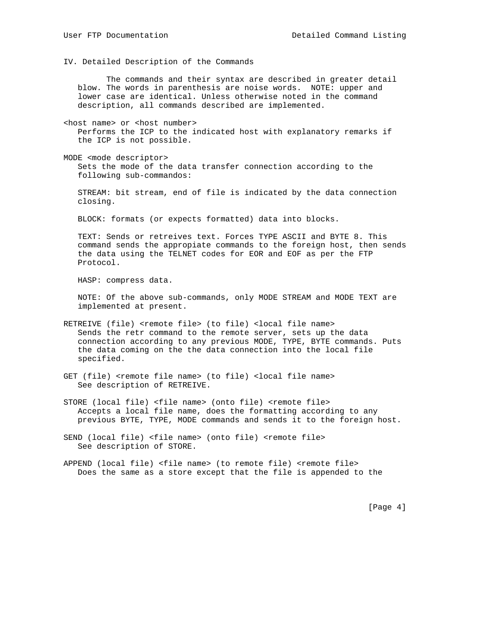IV. Detailed Description of the Commands

 The commands and their syntax are described in greater detail blow. The words in parenthesis are noise words. NOTE: upper and lower case are identical. Unless otherwise noted in the command description, all commands described are implemented.

<host name> or <host number> Performs the ICP to the indicated host with explanatory remarks if the ICP is not possible.

MODE <mode descriptor> Sets the mode of the data transfer connection according to the following sub-commandos:

 STREAM: bit stream, end of file is indicated by the data connection closing.

BLOCK: formats (or expects formatted) data into blocks.

 TEXT: Sends or retreives text. Forces TYPE ASCII and BYTE 8. This command sends the appropiate commands to the foreign host, then sends the data using the TELNET codes for EOR and EOF as per the FTP Protocol.

HASP: compress data.

 NOTE: Of the above sub-commands, only MODE STREAM and MODE TEXT are implemented at present.

- RETREIVE (file) <remote file> (to file) <local file name> Sends the retr command to the remote server, sets up the data connection according to any previous MODE, TYPE, BYTE commands. Puts the data coming on the the data connection into the local file specified.
- GET (file) <remote file name> (to file) <local file name> See description of RETREIVE.
- STORE (local file) <file name> (onto file) <remote file> Accepts a local file name, does the formatting according to any previous BYTE, TYPE, MODE commands and sends it to the foreign host.

SEND (local file) <file name> (onto file) <remote file> See description of STORE.

[Page 4]

APPEND (local file) <file name> (to remote file) <remote file> Does the same as a store except that the file is appended to the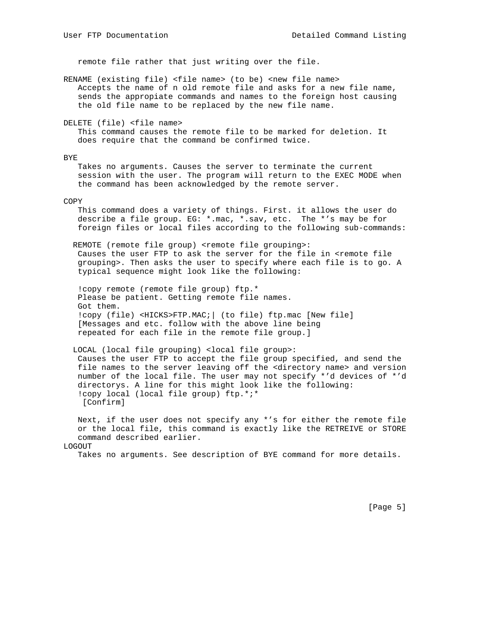remote file rather that just writing over the file.

RENAME (existing file) <file name> (to be) <new file name> Accepts the name of n old remote file and asks for a new file name, sends the appropiate commands and names to the foreign host causing the old file name to be replaced by the new file name.

DELETE (file) <file name>

 This command causes the remote file to be marked for deletion. It does require that the command be confirmed twice.

#### BYE

 Takes no arguments. Causes the server to terminate the current session with the user. The program will return to the EXEC MODE when the command has been acknowledged by the remote server.

#### COPY

 This command does a variety of things. First. it allows the user do describe a file group. EG: \*.mac, \*.sav, etc. The \*'s may be for foreign files or local files according to the following sub-commands:

REMOTE (remote file group) <remote file grouping>: Causes the user FTP to ask the server for the file in <remote file grouping>. Then asks the user to specify where each file is to go. A typical sequence might look like the following:

 !copy remote (remote file group) ftp.\* Please be patient. Getting remote file names. Got them. !copy (file) <HICKS>FTP.MAC;| (to file) ftp.mac [New file] [Messages and etc. follow with the above line being repeated for each file in the remote file group.]

 LOCAL (local file grouping) <local file group>: Causes the user FTP to accept the file group specified, and send the file names to the server leaving off the <directory name> and version number of the local file. The user may not specify \*'d devices of \*'d directorys. A line for this might look like the following: !copy local (local file group) ftp.\*;\* [Confirm]

 Next, if the user does not specify any \*'s for either the remote file or the local file, this command is exactly like the RETREIVE or STORE command described earlier. LOGOUT

Takes no arguments. See description of BYE command for more details.

[Page 5]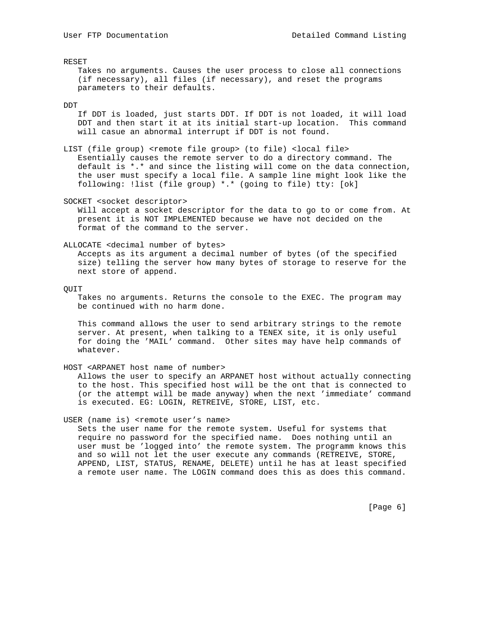RESET

 Takes no arguments. Causes the user process to close all connections (if necessary), all files (if necessary), and reset the programs parameters to their defaults.

#### DDT

 If DDT is loaded, just starts DDT. If DDT is not loaded, it will load DDT and then start it at its initial start-up location. This command will casue an abnormal interrupt if DDT is not found.

LIST (file group) <remote file group> (to file) <local file> Esentially causes the remote server to do a directory command. The default is \*.\* and since the listing will come on the data connection, the user must specify a local file. A sample line might look like the following: !list (file group) \*.\* (going to file) tty: [ok]

SOCKET <socket descriptor>

 Will accept a socket descriptor for the data to go to or come from. At present it is NOT IMPLEMENTED because we have not decided on the format of the command to the server.

### ALLOCATE <decimal number of bytes>

 Accepts as its argument a decimal number of bytes (of the specified size) telling the server how many bytes of storage to reserve for the next store of append.

#### QUIT

 Takes no arguments. Returns the console to the EXEC. The program may be continued with no harm done.

 This command allows the user to send arbitrary strings to the remote server. At present, when talking to a TENEX site, it is only useful for doing the 'MAIL' command. Other sites may have help commands of whatever.

#### HOST <ARPANET host name of number>

 Allows the user to specify an ARPANET host without actually connecting to the host. This specified host will be the ont that is connected to (or the attempt will be made anyway) when the next 'immediate' command is executed. EG: LOGIN, RETREIVE, STORE, LIST, etc.

### USER (name is) <remote user's name>

 Sets the user name for the remote system. Useful for systems that require no password for the specified name. Does nothing until an user must be 'logged into' the remote system. The programm knows this and so will not let the user execute any commands (RETREIVE, STORE, APPEND, LIST, STATUS, RENAME, DELETE) until he has at least specified a remote user name. The LOGIN command does this as does this command.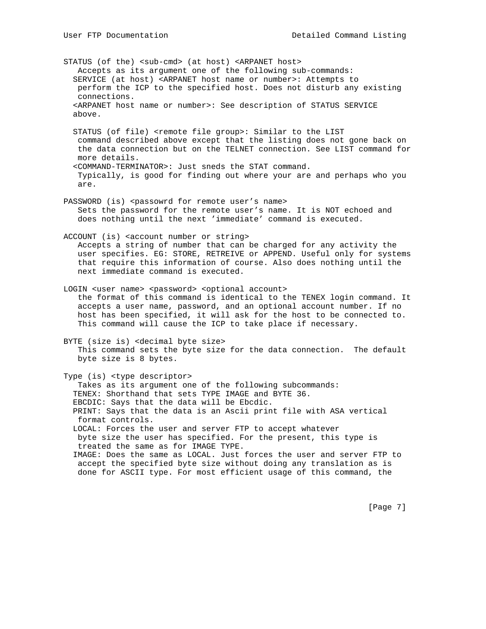STATUS (of the) <sub-cmd> (at host) <ARPANET host> Accepts as its argument one of the following sub-commands: SERVICE (at host) <ARPANET host name or number>: Attempts to perform the ICP to the specified host. Does not disturb any existing connections. <ARPANET host name or number>: See description of STATUS SERVICE above.

 STATUS (of file) <remote file group>: Similar to the LIST command described above except that the listing does not gone back on the data connection but on the TELNET connection. See LIST command for more details. <COMMAND-TERMINATOR>: Just sneds the STAT command.

 Typically, is good for finding out where your are and perhaps who you are.

PASSWORD (is) <passowrd for remote user's name> Sets the password for the remote user's name. It is NOT echoed and does nothing until the next 'immediate' command is executed.

ACCOUNT (is) <account number or string> Accepts a string of number that can be charged for any activity the user specifies. EG: STORE, RETREIVE or APPEND. Useful only for systems that require this information of course. Also does nothing until the next immediate command is executed.

LOGIN <user name> <password> <optional account> the format of this command is identical to the TENEX login command. It accepts a user name, password, and an optional account number. If no host has been specified, it will ask for the host to be connected to. This command will cause the ICP to take place if necessary.

BYTE (size is) <decimal byte size> This command sets the byte size for the data connection. The default byte size is 8 bytes.

Type (is) <type descriptor> Takes as its argument one of the following subcommands: TENEX: Shorthand that sets TYPE IMAGE and BYTE 36. EBCDIC: Says that the data will be Ebcdic. PRINT: Says that the data is an Ascii print file with ASA vertical format controls. LOCAL: Forces the user and server FTP to accept whatever byte size the user has specified. For the present, this type is treated the same as for IMAGE TYPE. IMAGE: Does the same as LOCAL. Just forces the user and server FTP to accept the specified byte size without doing any translation as is done for ASCII type. For most efficient usage of this command, the

[Page 7]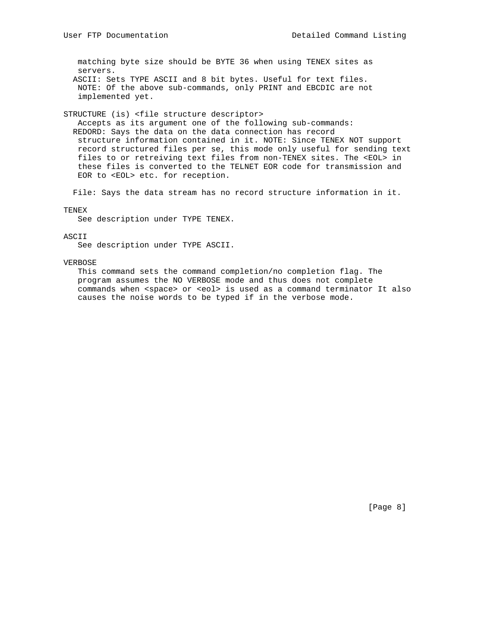matching byte size should be BYTE 36 when using TENEX sites as servers. ASCII: Sets TYPE ASCII and 8 bit bytes. Useful for text files. NOTE: Of the above sub-commands, only PRINT and EBCDIC are not implemented yet.

STRUCTURE (is) <file structure descriptor>

 Accepts as its argument one of the following sub-commands: REDORD: Says the data on the data connection has record structure information contained in it. NOTE: Since TENEX NOT support record structured files per se, this mode only useful for sending text files to or retreiving text files from non-TENEX sites. The <EOL> in these files is converted to the TELNET EOR code for transmission and EOR to <EOL> etc. for reception.

File: Says the data stream has no record structure information in it.

#### TENEX

See description under TYPE TENEX.

## ASCII

See description under TYPE ASCII.

#### VERBOSE

 This command sets the command completion/no completion flag. The program assumes the NO VERBOSE mode and thus does not complete commands when <space> or <eol> is used as a command terminator It also causes the noise words to be typed if in the verbose mode.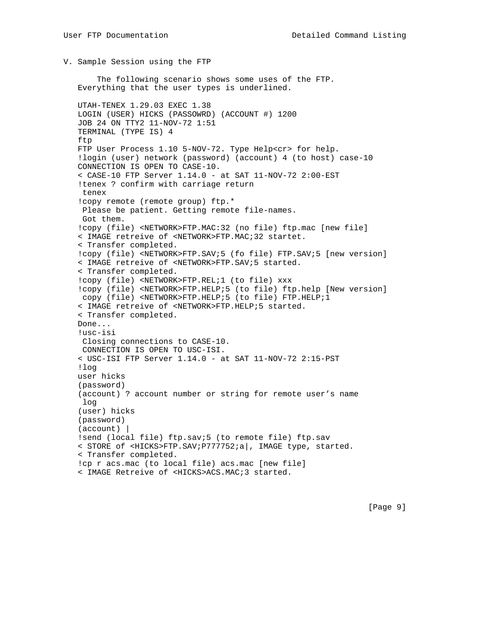V. Sample Session using the FTP

 The following scenario shows some uses of the FTP. Everything that the user types is underlined.

 UTAH-TENEX 1.29.03 EXEC 1.38 LOGIN (USER) HICKS (PASSOWRD) (ACCOUNT #) 1200 JOB 24 ON TTY2 11-NOV-72 1:51 TERMINAL (TYPE IS) 4 ftp FTP User Process 1.10 5-NOV-72. Type Help<cr> for help. !login (user) network (password) (account) 4 (to host) case-10 CONNECTION IS OPEN TO CASE-10. < CASE-10 FTP Server 1.14.0 - at SAT 11-NOV-72 2:00-EST !tenex ? confirm with carriage return tenex !copy remote (remote group) ftp.\* Please be patient. Getting remote file-names. Got them. !copy (file) <NETWORK>FTP.MAC:32 (no file) ftp.mac [new file] < IMAGE retreive of <NETWORK>FTP.MAC;32 startet. < Transfer completed. !copy (file) <NETWORK>FTP.SAV;5 (fo file) FTP.SAV;5 [new version] < IMAGE retreive of <NETWORK>FTP.SAV;5 started. < Transfer completed. !copy (file) <NETWORK>FTP.REL;1 (to file) xxx !copy (file) <NETWORK>FTP.HELP;5 (to file) ftp.help [New version] copy (file) <NETWORK>FTP.HELP;5 (to file) FTP.HELP;1 < IMAGE retreive of <NETWORK>FTP.HELP;5 started. < Transfer completed. Done... !usc-isi Closing connections to CASE-10. CONNECTION IS OPEN TO USC-ISI. < USC-ISI FTP Server 1.14.0 - at SAT 11-NOV-72 2:15-PST !log user hicks (password) (account) ? account number or string for remote user's name log (user) hicks (password) (account) | !send (local file) ftp.sav;5 (to remote file) ftp.sav < STORE of <HICKS>FTP.SAV;P777752;a|, IMAGE type, started. < Transfer completed. !cp r acs.mac (to local file) acs.mac [new file] < IMAGE Retreive of <HICKS>ACS.MAC;3 started.

[Page 9]